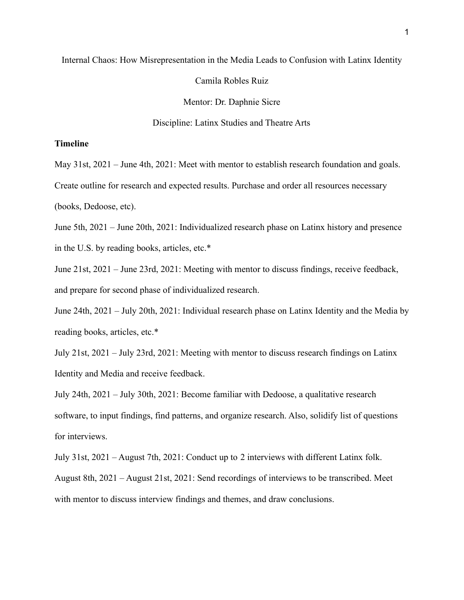## Internal Chaos: How Misrepresentation in the Media Leads to Confusion with Latinx Identity

Camila Robles Ruiz

Mentor: Dr. Daphnie Sicre

Discipline: Latinx Studies and Theatre Arts

## **Timeline**

May 31st, 2021 – June 4th, 2021: Meet with mentor to establish research foundation and goals.

Create outline for research and expected results. Purchase and order all resources necessary

(books, Dedoose, etc).

June 5th, 2021 – June 20th, 2021: Individualized research phase on Latinx history and presence in the U.S. by reading books, articles, etc.\*

June 21st, 2021 – June 23rd, 2021: Meeting with mentor to discuss findings, receive feedback, and prepare for second phase of individualized research.

June 24th, 2021 – July 20th, 2021: Individual research phase on Latinx Identity and the Media by reading books, articles, etc.\*

July 21st, 2021 – July 23rd, 2021: Meeting with mentor to discuss research findings on Latinx Identity and Media and receive feedback.

July 24th, 2021 – July 30th, 2021: Become familiar with Dedoose, a qualitative research software, to input findings, find patterns, and organize research. Also, solidify list of questions for interviews.

July 31st, 2021 – August 7th, 2021: Conduct up to 2 interviews with different Latinx folk. August 8th, 2021 – August 21st, 2021: Send recordings of interviews to be transcribed. Meet with mentor to discuss interview findings and themes, and draw conclusions.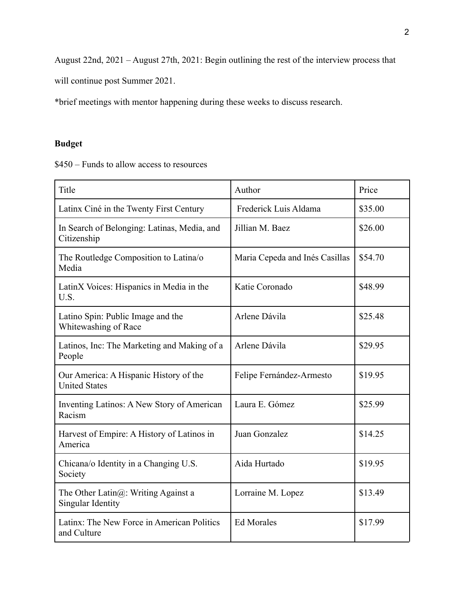August 22nd, 2021 – August 27th, 2021: Begin outlining the rest of the interview process that

will continue post Summer 2021.

\*brief meetings with mentor happening during these weeks to discuss research.

## **Budget**

\$450 – Funds to allow access to resources

| Title                                                                 | Author                         | Price   |
|-----------------------------------------------------------------------|--------------------------------|---------|
| Latinx Ciné in the Twenty First Century                               | Frederick Luis Aldama          | \$35.00 |
| In Search of Belonging: Latinas, Media, and<br>Citizenship            | Jillian M. Baez                | \$26.00 |
| The Routledge Composition to Latina/o<br>Media                        | Maria Cepeda and Inés Casillas | \$54.70 |
| LatinX Voices: Hispanics in Media in the<br>U.S.                      | Katie Coronado                 | \$48.99 |
| Latino Spin: Public Image and the<br>Whitewashing of Race             | Arlene Dávila                  | \$25.48 |
| Latinos, Inc: The Marketing and Making of a<br>People                 | Arlene Dávila                  | \$29.95 |
| Our America: A Hispanic History of the<br><b>United States</b>        | Felipe Fernández-Armesto       | \$19.95 |
| Inventing Latinos: A New Story of American<br>Racism                  | Laura E. Gómez                 | \$25.99 |
| Harvest of Empire: A History of Latinos in<br>America                 | Juan Gonzalez                  | \$14.25 |
| Chicana/o Identity in a Changing U.S.<br>Society                      | Aida Hurtado                   | \$19.95 |
| The Other Latin $(a)$ : Writing Against a<br><b>Singular Identity</b> | Lorraine M. Lopez              | \$13.49 |
| Latinx: The New Force in American Politics<br>and Culture             | <b>Ed Morales</b>              | \$17.99 |